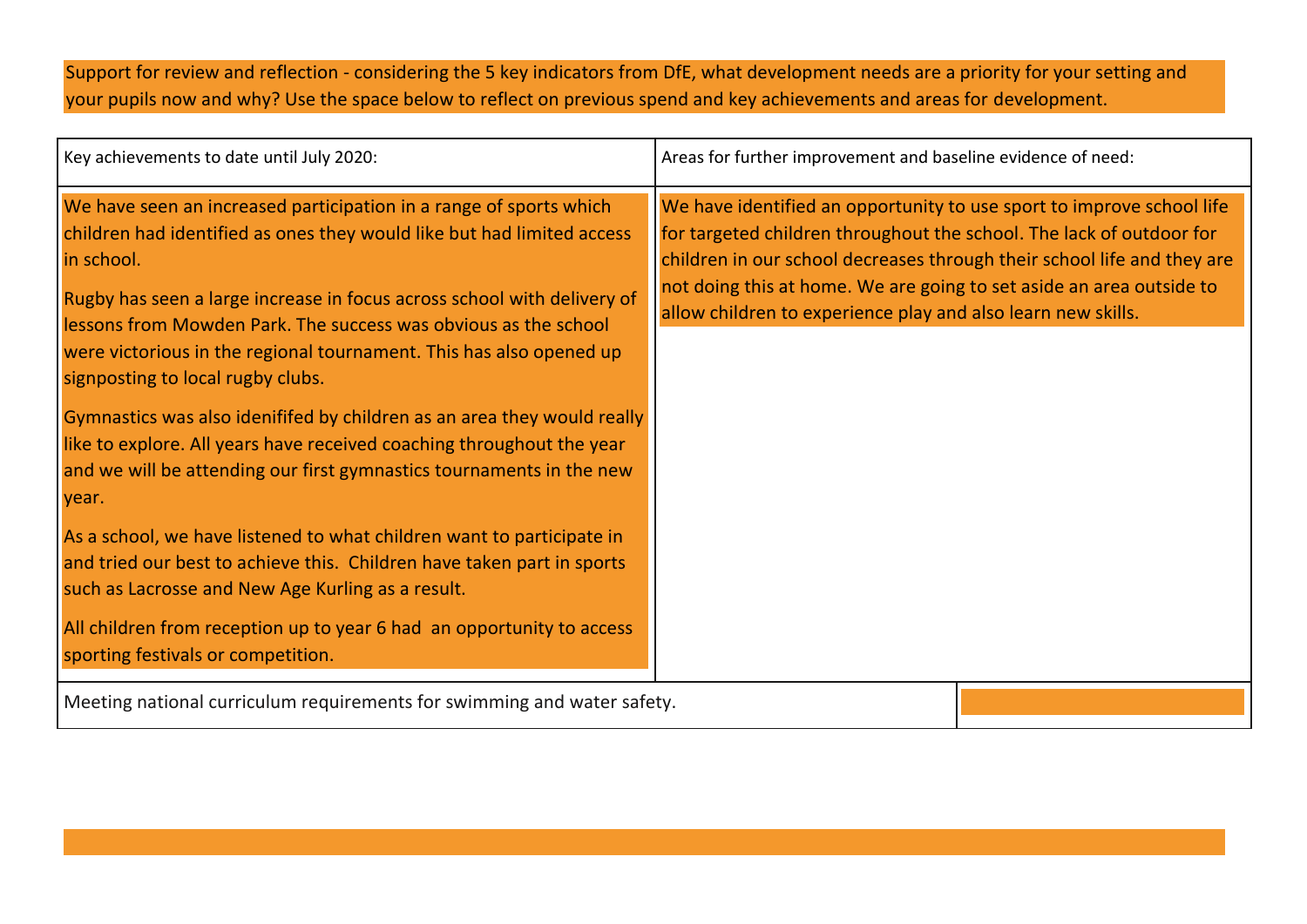Support for review and reflection - considering the 5 key indicators from DfE, what development needs are a priority for your setting and your pupils now and why? Use the space below to reflect on previous spend and key achievements and areas for development.

| Key achievements to date until July 2020:                                                                                                                                                                                                                                                                                                                                                                                                                                                                                                                                                                                                                                                                                          | Areas for further improvement and baseline evidence of need:                                                                                                                                                                                                                                                                                                     |
|------------------------------------------------------------------------------------------------------------------------------------------------------------------------------------------------------------------------------------------------------------------------------------------------------------------------------------------------------------------------------------------------------------------------------------------------------------------------------------------------------------------------------------------------------------------------------------------------------------------------------------------------------------------------------------------------------------------------------------|------------------------------------------------------------------------------------------------------------------------------------------------------------------------------------------------------------------------------------------------------------------------------------------------------------------------------------------------------------------|
| We have seen an increased participation in a range of sports which<br>children had identified as ones they would like but had limited access<br>in school.<br>Rugby has seen a large increase in focus across school with delivery of<br>lessons from Mowden Park. The success was obvious as the school<br>were victorious in the regional tournament. This has also opened up<br>signposting to local rugby clubs.<br>Gymnastics was also idenififed by children as an area they would really<br>like to explore. All years have received coaching throughout the year<br>and we will be attending our first gymnastics tournaments in the new<br>year.<br>As a school, we have listened to what children want to participate in | We have identified an opportunity to use sport to improve school life<br>for targeted children throughout the school. The lack of outdoor for<br>children in our school decreases through their school life and they are<br>not doing this at home. We are going to set aside an area outside to<br>allow children to experience play and also learn new skills. |
| and tried our best to achieve this. Children have taken part in sports<br>such as Lacrosse and New Age Kurling as a result.<br>All children from reception up to year 6 had an opportunity to access<br>sporting festivals or competition.                                                                                                                                                                                                                                                                                                                                                                                                                                                                                         |                                                                                                                                                                                                                                                                                                                                                                  |
| Meeting national curriculum requirements for swimming and water safety.                                                                                                                                                                                                                                                                                                                                                                                                                                                                                                                                                                                                                                                            |                                                                                                                                                                                                                                                                                                                                                                  |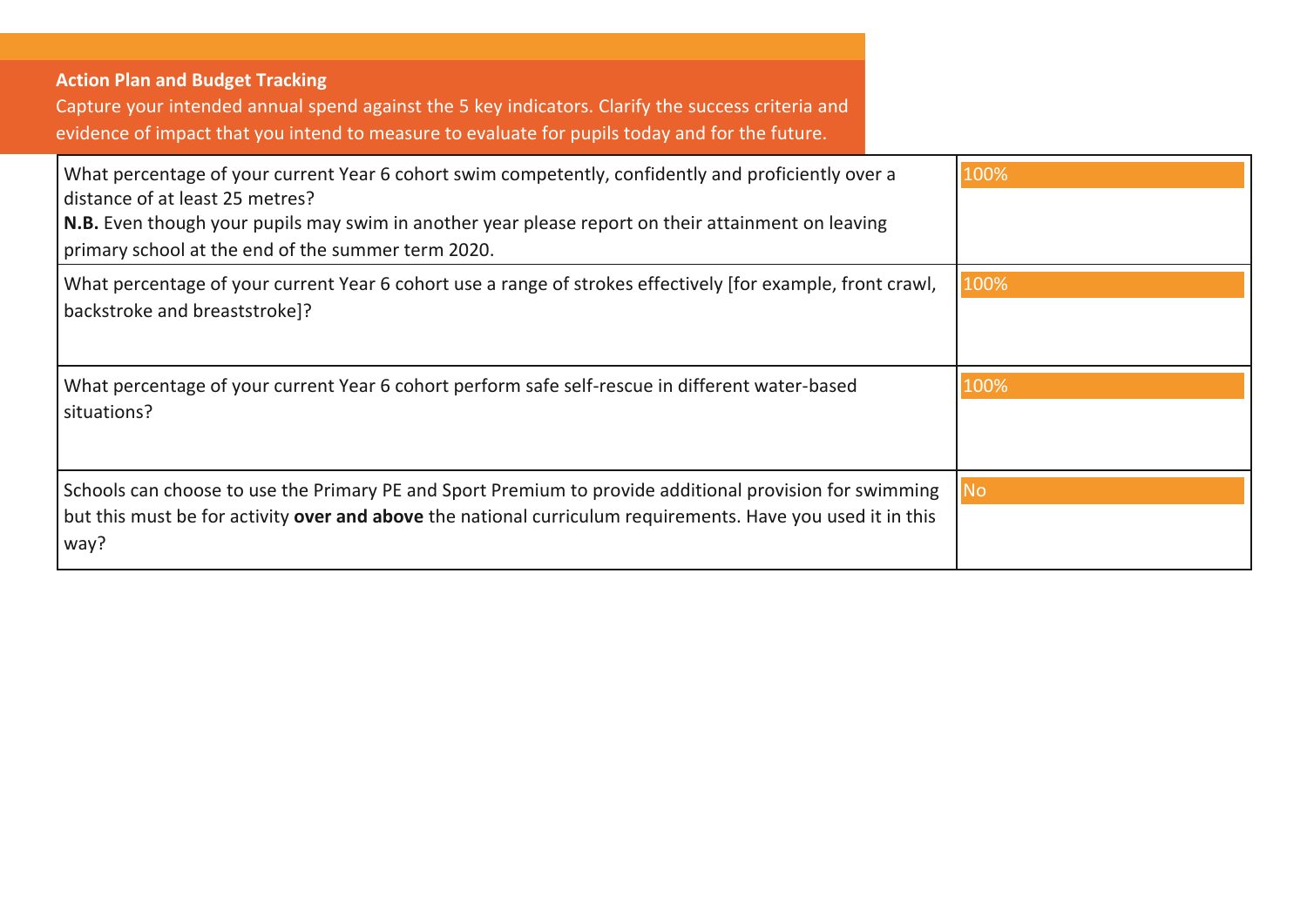## **Action Plan and Budget Tracking**

Capture your intended annual spend against the 5 key indicators. Clarify the success criteria and evidence of impact that you intend to measure to evaluate for pupils today and for the future.

| What percentage of your current Year 6 cohort swim competently, confidently and proficiently over a<br>distance of at least 25 metres?<br>N.B. Even though your pupils may swim in another year please report on their attainment on leaving<br>primary school at the end of the summer term 2020. | 100% |
|----------------------------------------------------------------------------------------------------------------------------------------------------------------------------------------------------------------------------------------------------------------------------------------------------|------|
| What percentage of your current Year 6 cohort use a range of strokes effectively [for example, front crawl,<br>backstroke and breaststroke]?                                                                                                                                                       | 100% |
| What percentage of your current Year 6 cohort perform safe self-rescue in different water-based<br>situations?                                                                                                                                                                                     | 100% |
| Schools can choose to use the Primary PE and Sport Premium to provide additional provision for swimming<br>but this must be for activity over and above the national curriculum requirements. Have you used it in this<br>way?                                                                     | No   |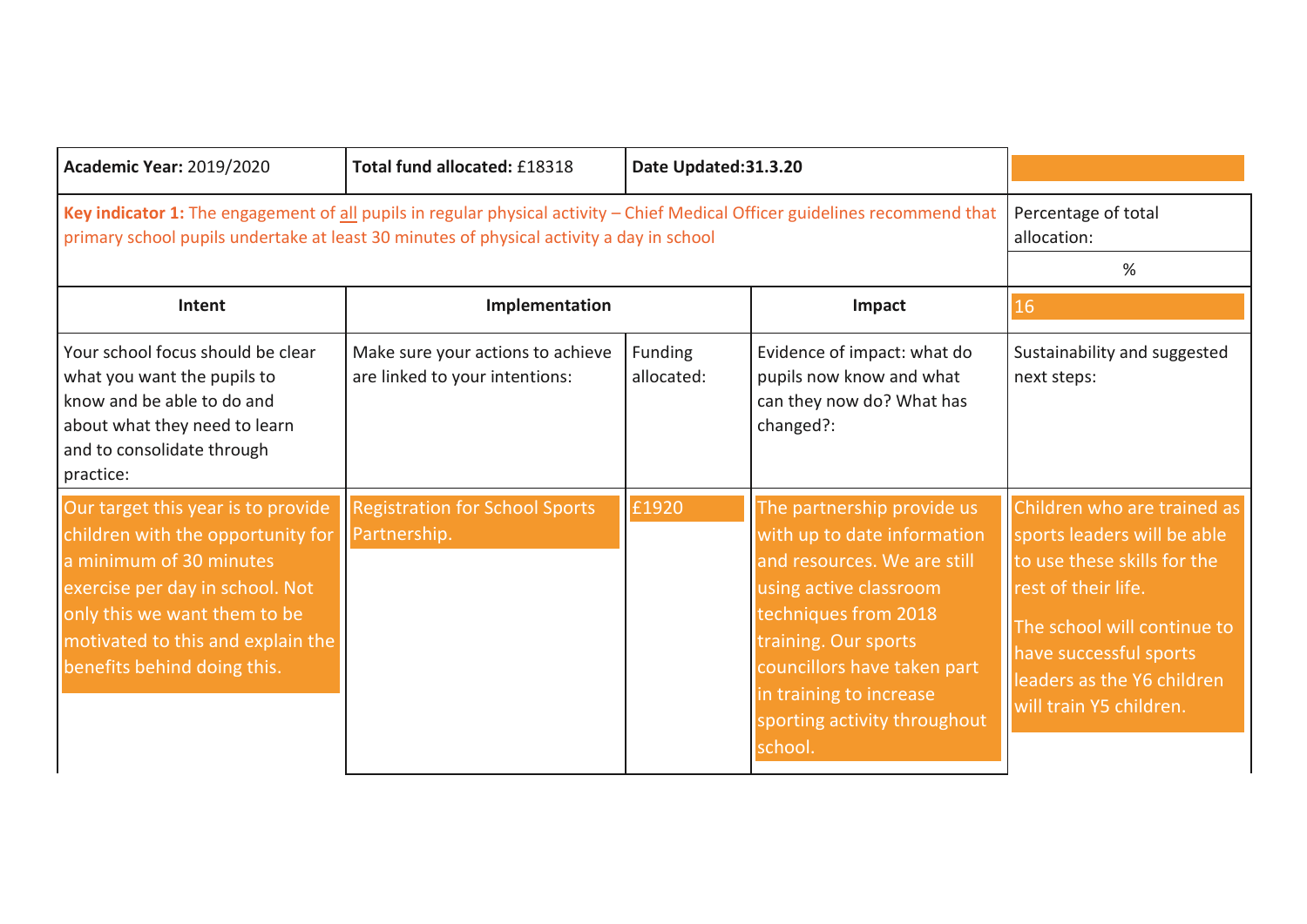| <b>Academic Year: 2019/2020</b>                                                                                                                                                                                                           | Total fund allocated: £18318                                        | Date Updated:31.3.20  |                                                                                                                                                                                                                                                                         |                                                                                                                                                                                                                                    |
|-------------------------------------------------------------------------------------------------------------------------------------------------------------------------------------------------------------------------------------------|---------------------------------------------------------------------|-----------------------|-------------------------------------------------------------------------------------------------------------------------------------------------------------------------------------------------------------------------------------------------------------------------|------------------------------------------------------------------------------------------------------------------------------------------------------------------------------------------------------------------------------------|
| Key indicator 1: The engagement of all pupils in regular physical activity - Chief Medical Officer guidelines recommend that<br>primary school pupils undertake at least 30 minutes of physical activity a day in school                  |                                                                     |                       |                                                                                                                                                                                                                                                                         | Percentage of total<br>allocation:<br>%                                                                                                                                                                                            |
| Intent                                                                                                                                                                                                                                    | Implementation                                                      |                       | Impact                                                                                                                                                                                                                                                                  | 16                                                                                                                                                                                                                                 |
| Your school focus should be clear<br>what you want the pupils to<br>know and be able to do and<br>about what they need to learn<br>and to consolidate through<br>practice:                                                                | Make sure your actions to achieve<br>are linked to your intentions: | Funding<br>allocated: | Evidence of impact: what do<br>pupils now know and what<br>can they now do? What has<br>changed?:                                                                                                                                                                       | Sustainability and suggested<br>next steps:                                                                                                                                                                                        |
| Our target this year is to provide<br>children with the opportunity for<br>a minimum of 30 minutes<br>exercise per day in school. Not<br>only this we want them to be<br>motivated to this and explain the<br>benefits behind doing this. | <b>Registration for School Sports</b><br>Partnership.               | £1920                 | The partnership provide us<br>with up to date information<br>and resources. We are still<br>using active classroom<br>techniques from 2018<br>training. Our sports<br>councillors have taken part<br>in training to increase<br>sporting activity throughout<br>school. | Children who are trained as<br>sports leaders will be able<br>to use these skills for the<br>rest of their life.<br>The school will continue to<br>have successful sports<br>leaders as the Y6 children<br>will train Y5 children. |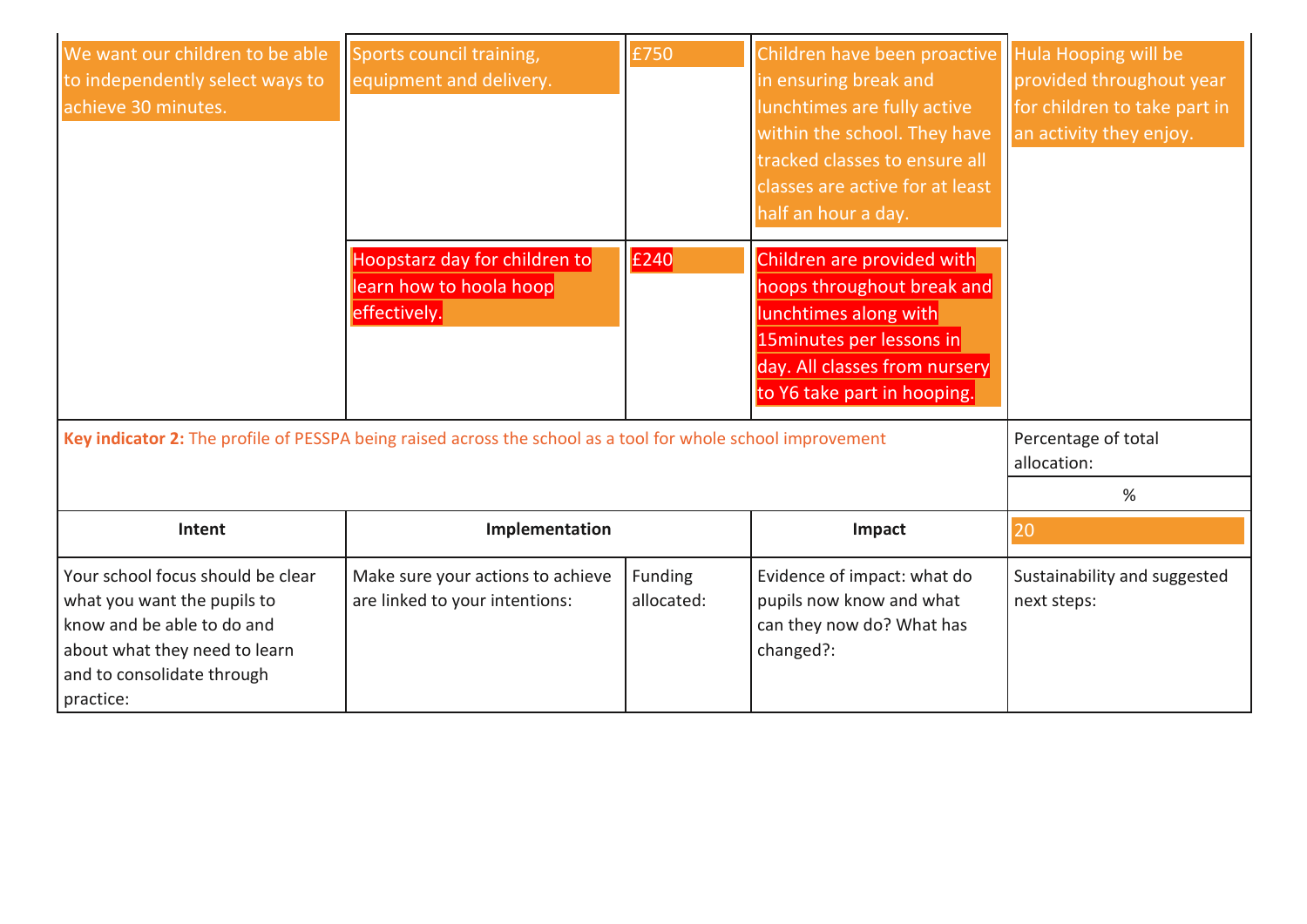| We want our children to be able<br>to independently select ways to<br>achieve 30 minutes.                                                                                  | Sports council training,<br>equipment and delivery.                      | £750                  | Children have been proactive   Hula Hooping will be<br>in ensuring break and<br>lunchtimes are fully active<br>within the school. They have<br>tracked classes to ensure all<br>classes are active for at least<br>half an hour a day. | provided throughout year<br>for children to take part in<br>an activity they enjoy. |
|----------------------------------------------------------------------------------------------------------------------------------------------------------------------------|--------------------------------------------------------------------------|-----------------------|----------------------------------------------------------------------------------------------------------------------------------------------------------------------------------------------------------------------------------------|-------------------------------------------------------------------------------------|
|                                                                                                                                                                            | Hoopstarz day for children to<br>learn how to hoola hoop<br>effectively. | £240                  | Children are provided with<br>hoops throughout break and<br>lunchtimes along with<br>15 minutes per lessons in<br>day. All classes from nursery<br>to Y6 take part in hooping.                                                         |                                                                                     |
| Key indicator 2: The profile of PESSPA being raised across the school as a tool for whole school improvement                                                               |                                                                          |                       |                                                                                                                                                                                                                                        | Percentage of total<br>allocation:                                                  |
|                                                                                                                                                                            |                                                                          |                       |                                                                                                                                                                                                                                        | %                                                                                   |
| Intent                                                                                                                                                                     | Implementation                                                           |                       | Impact                                                                                                                                                                                                                                 | 20                                                                                  |
| Your school focus should be clear<br>what you want the pupils to<br>know and be able to do and<br>about what they need to learn<br>and to consolidate through<br>practice: | Make sure your actions to achieve<br>are linked to your intentions:      | Funding<br>allocated: | Evidence of impact: what do<br>pupils now know and what<br>can they now do? What has<br>changed?:                                                                                                                                      | Sustainability and suggested<br>next steps:                                         |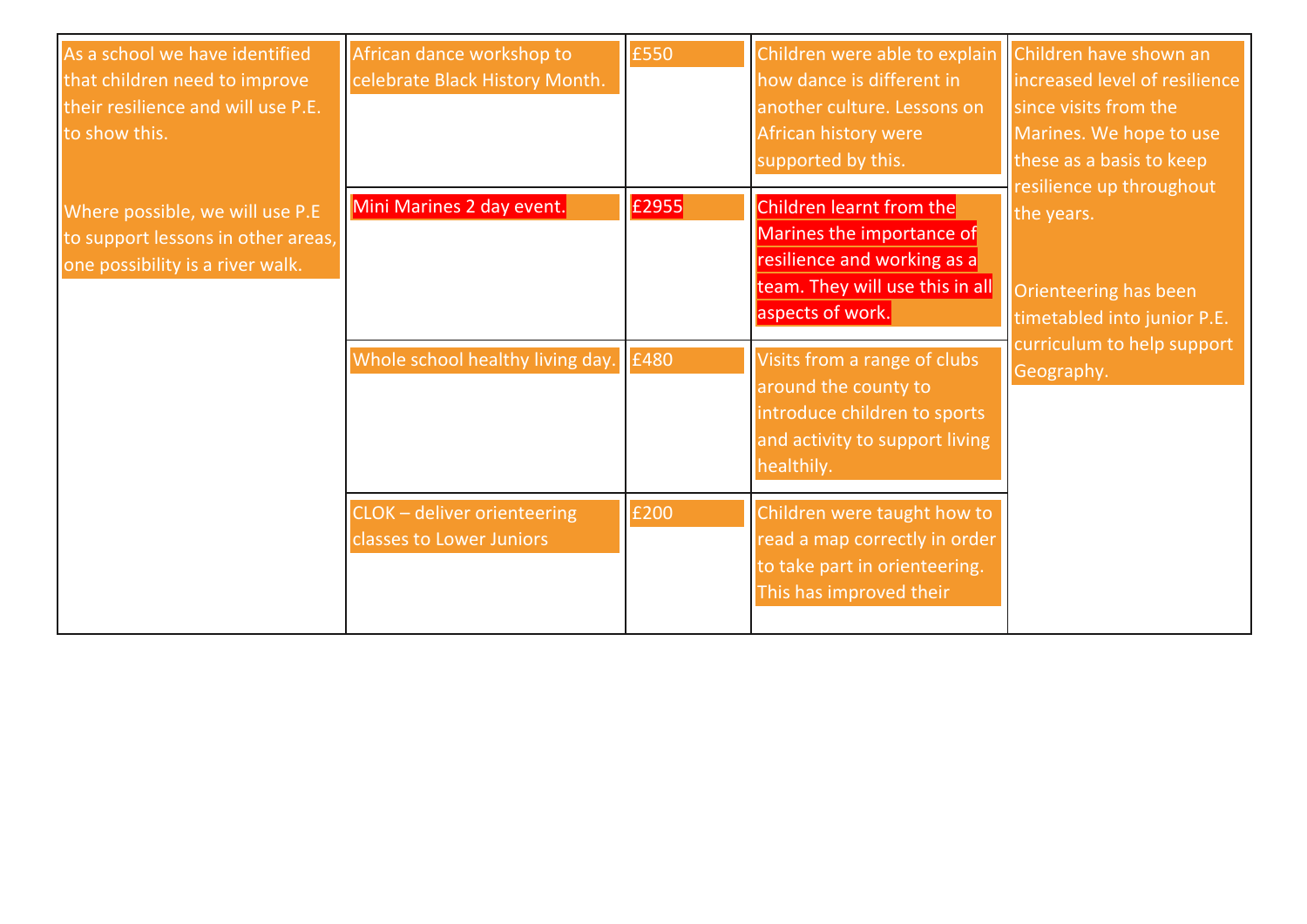| As a school we have identified<br>that children need to improve<br>their resilience and will use P.E.<br>to show this. | African dance workshop to<br>celebrate Black History Month. | £550  | Children were able to explain<br>how dance is different in<br>another culture. Lessons on<br>African history were<br>supported by this.     | Children have shown an<br>increased level of resilience<br>since visits from the<br>Marines. We hope to use<br>these as a basis to keep |
|------------------------------------------------------------------------------------------------------------------------|-------------------------------------------------------------|-------|---------------------------------------------------------------------------------------------------------------------------------------------|-----------------------------------------------------------------------------------------------------------------------------------------|
| Where possible, we will use P.E<br>to support lessons in other areas,<br>one possibility is a river walk.              | Mini Marines 2 day event.                                   | £2955 | Children learnt from the<br>Marines the importance of<br>resilience and working as a<br>team. They will use this in all<br>aspects of work. | resilience up throughout<br>the years.<br>Orienteering has been<br>timetabled into junior P.E.                                          |
|                                                                                                                        | Whole school healthy living day.                            | £480  | Visits from a range of clubs<br>around the county to<br>introduce children to sports<br>and activity to support living<br>healthily.        | curriculum to help support<br>Geography.                                                                                                |
|                                                                                                                        | CLOK - deliver orienteering<br>classes to Lower Juniors     | £200  | Children were taught how to<br>read a map correctly in order<br>to take part in orienteering.<br>This has improved their                    |                                                                                                                                         |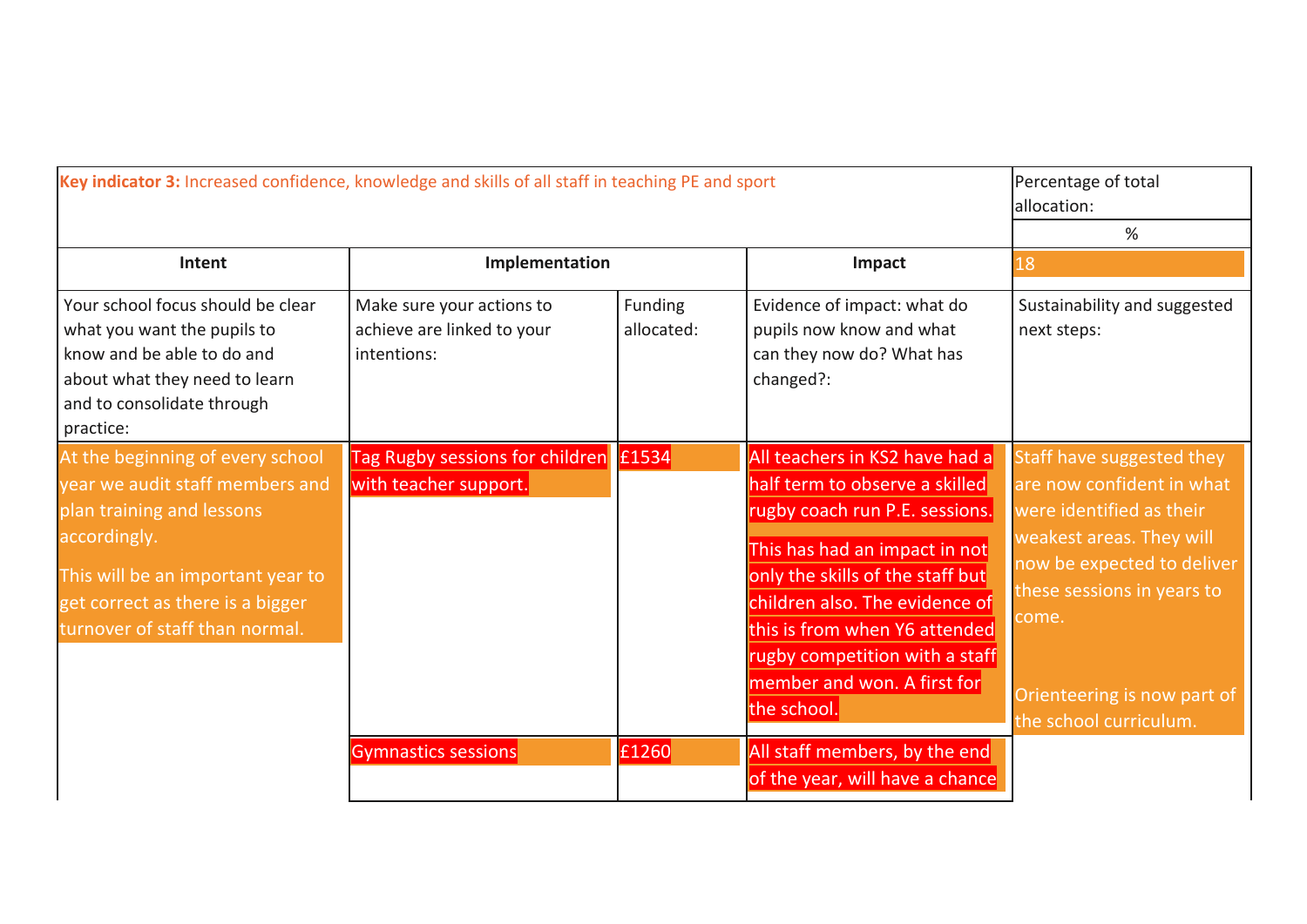| Key indicator 3: Increased confidence, knowledge and skills of all staff in teaching PE and sport                                                                                                                           |                                                                        |                       | Percentage of total<br>allocation:<br>%                                                                                                                                                                                                                                                                                    |                                                                                                                                                                                                                                              |
|-----------------------------------------------------------------------------------------------------------------------------------------------------------------------------------------------------------------------------|------------------------------------------------------------------------|-----------------------|----------------------------------------------------------------------------------------------------------------------------------------------------------------------------------------------------------------------------------------------------------------------------------------------------------------------------|----------------------------------------------------------------------------------------------------------------------------------------------------------------------------------------------------------------------------------------------|
| Intent                                                                                                                                                                                                                      | Implementation                                                         |                       | Impact                                                                                                                                                                                                                                                                                                                     | 18                                                                                                                                                                                                                                           |
| Your school focus should be clear<br>what you want the pupils to<br>know and be able to do and<br>about what they need to learn<br>and to consolidate through<br>practice:                                                  | Make sure your actions to<br>achieve are linked to your<br>intentions: | Funding<br>allocated: | Evidence of impact: what do<br>pupils now know and what<br>can they now do? What has<br>changed?:                                                                                                                                                                                                                          | Sustainability and suggested<br>next steps:                                                                                                                                                                                                  |
| At the beginning of every school<br>year we audit staff members and<br>plan training and lessons<br>accordingly.<br>This will be an important year to<br>get correct as there is a bigger<br>turnover of staff than normal. | Tag Rugby sessions for children £1534<br>with teacher support.         |                       | All teachers in KS2 have had a<br>half term to observe a skilled<br>rugby coach run P.E. sessions.<br>This has had an impact in not<br>only the skills of the staff but<br>children also. The evidence of<br>this is from when Y6 attended<br>rugby competition with a staff<br>member and won. A first for<br>the school. | Staff have suggested they<br>are now confident in what<br>were identified as their<br>weakest areas. They will<br>now be expected to deliver<br>these sessions in years to<br>come.<br>Orienteering is now part of<br>the school curriculum. |
|                                                                                                                                                                                                                             | Gymnastics sessions                                                    | £1260                 | All staff members, by the end<br>of the year, will have a chance                                                                                                                                                                                                                                                           |                                                                                                                                                                                                                                              |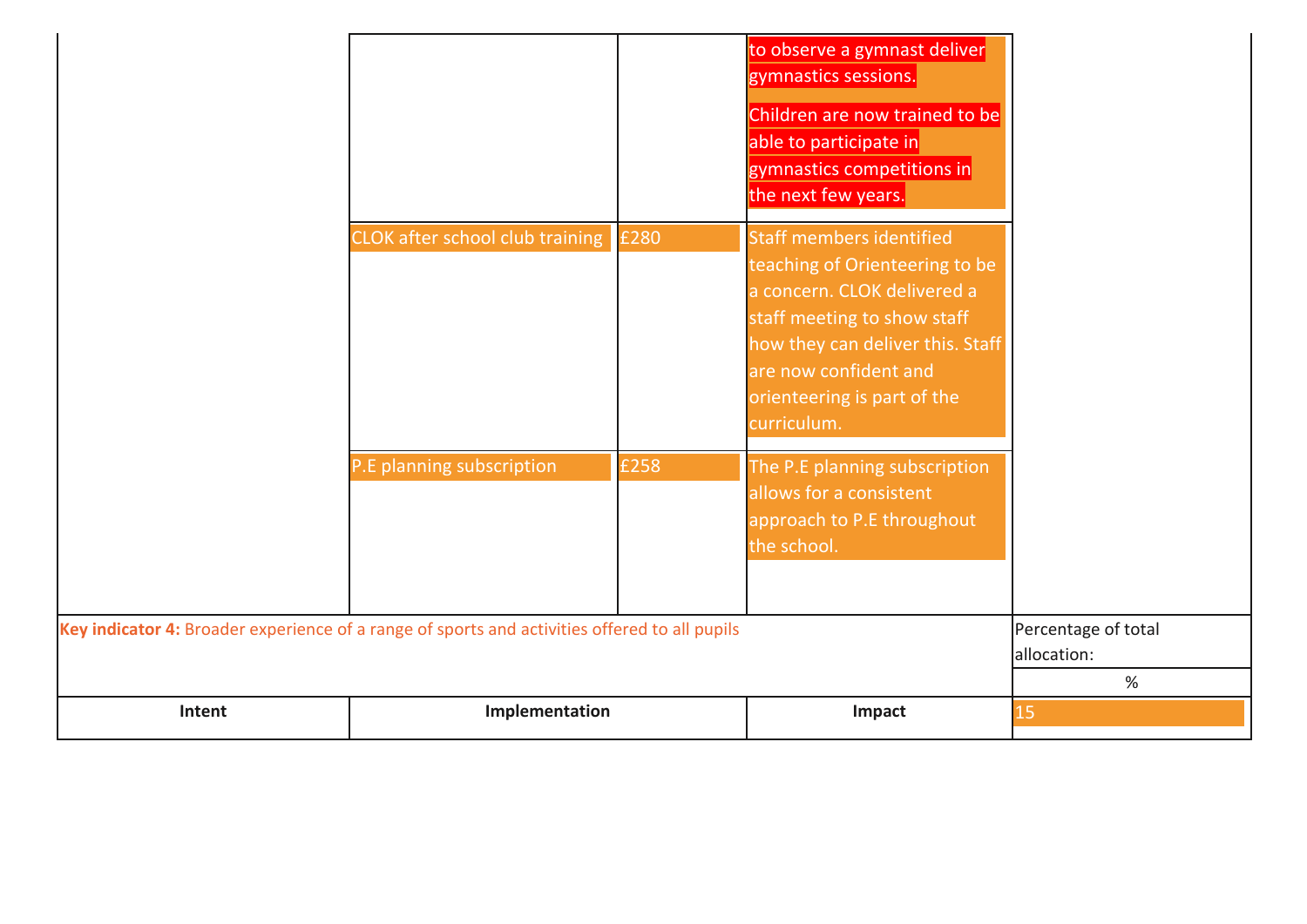| Children are now trained to be<br>able to participate in<br>gymnastics competitions in<br>the next few years.<br>Staff members identified<br>CLOK after school club training £280<br>teaching of Orienteering to be<br>a concern. CLOK delivered a<br>staff meeting to show staff<br>how they can deliver this. Staff<br>are now confident and<br>orienteering is part of the<br>curriculum.<br>P.E planning subscription<br>£258<br>The P.E planning subscription<br>allows for a consistent<br>approach to P.E throughout<br>the school.<br>Key indicator 4: Broader experience of a range of sports and activities offered to all pupils<br>Percentage of total<br>allocation:<br>% | Intent | Implementation | Impact               | 15 |
|----------------------------------------------------------------------------------------------------------------------------------------------------------------------------------------------------------------------------------------------------------------------------------------------------------------------------------------------------------------------------------------------------------------------------------------------------------------------------------------------------------------------------------------------------------------------------------------------------------------------------------------------------------------------------------------|--------|----------------|----------------------|----|
|                                                                                                                                                                                                                                                                                                                                                                                                                                                                                                                                                                                                                                                                                        |        |                |                      |    |
|                                                                                                                                                                                                                                                                                                                                                                                                                                                                                                                                                                                                                                                                                        |        |                |                      |    |
|                                                                                                                                                                                                                                                                                                                                                                                                                                                                                                                                                                                                                                                                                        |        |                |                      |    |
| to observe a gymnast deliver                                                                                                                                                                                                                                                                                                                                                                                                                                                                                                                                                                                                                                                           |        |                | gymnastics sessions. |    |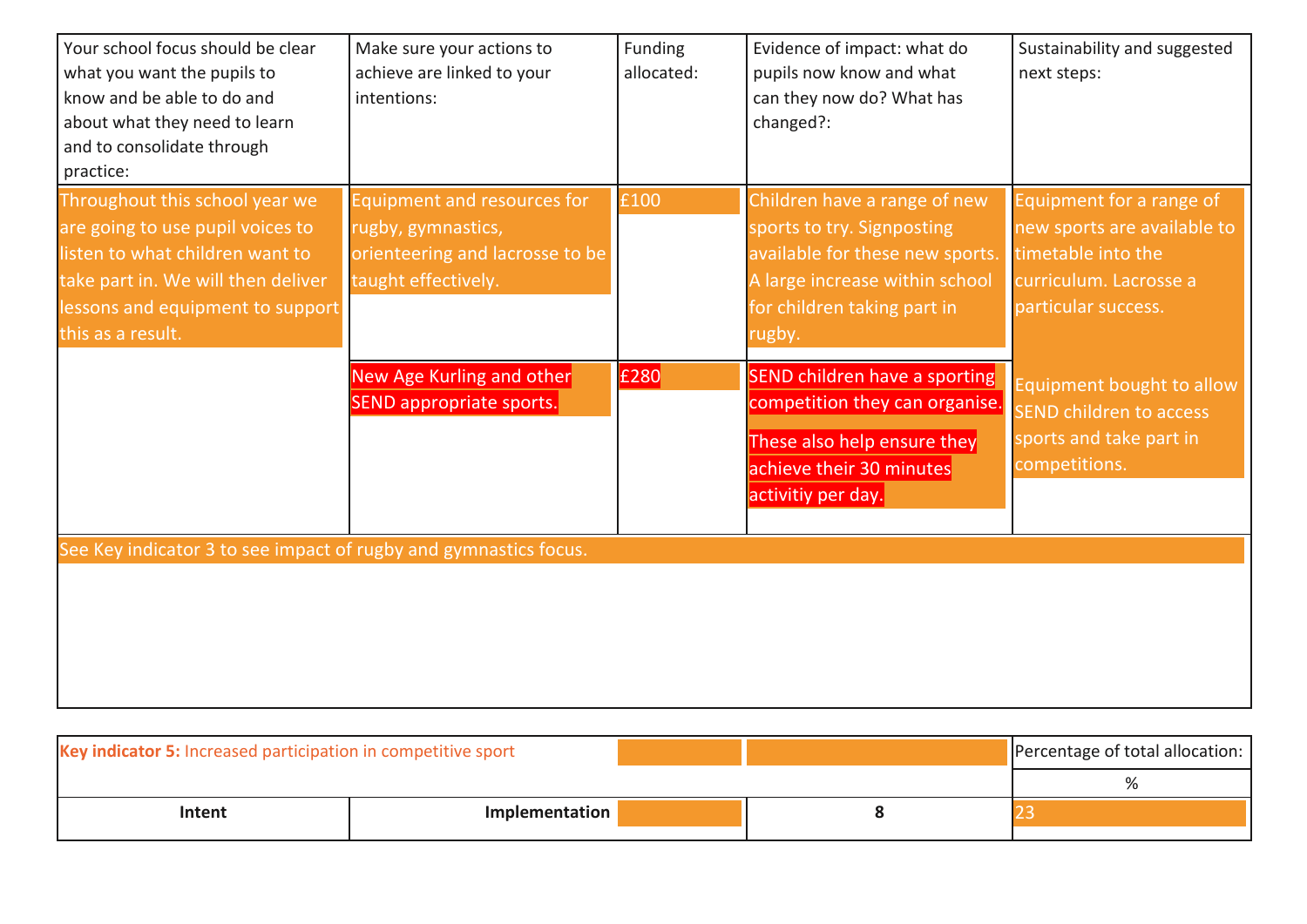| Your school focus should be clear<br>what you want the pupils to<br>know and be able to do and<br>about what they need to learn<br>and to consolidate through<br>practice:                           | Make sure your actions to<br>achieve are linked to your<br>intentions:                                      | Funding<br>allocated: | Evidence of impact: what do<br>pupils now know and what<br>can they now do? What has<br>changed?:                                                                        | Sustainability and suggested<br>next steps:                                                                                    |
|------------------------------------------------------------------------------------------------------------------------------------------------------------------------------------------------------|-------------------------------------------------------------------------------------------------------------|-----------------------|--------------------------------------------------------------------------------------------------------------------------------------------------------------------------|--------------------------------------------------------------------------------------------------------------------------------|
| Throughout this school year we<br>are going to use pupil voices to<br>listen to what children want to<br>take part in. We will then deliver<br>lessons and equipment to support<br>this as a result. | Equipment and resources for<br>rugby, gymnastics,<br>orienteering and lacrosse to be<br>taught effectively. | £100                  | Children have a range of new<br>sports to try. Signposting<br>available for these new sports.<br>A large increase within school<br>for children taking part in<br>rugby. | Equipment for a range of<br>new sports are available to<br>timetable into the<br>curriculum. Lacrosse a<br>particular success. |
|                                                                                                                                                                                                      | New Age Kurling and other<br>SEND appropriate sports.                                                       | £280                  | <b>SEND children have a sporting</b><br>competition they can organise.<br>These also help ensure they<br>achieve their 30 minutes<br>activitiy per day.                  | Equipment bought to allow<br><b>SEND children to access</b><br>sports and take part in<br>competitions.                        |
| See Key indicator 3 to see impact of rugby and gymnastics focus.                                                                                                                                     |                                                                                                             |                       |                                                                                                                                                                          |                                                                                                                                |

| Key indicator 5: Increased participation in competitive sport |                | Percentage of total allocation: |
|---------------------------------------------------------------|----------------|---------------------------------|
|                                                               |                |                                 |
| Intent                                                        | Implementation |                                 |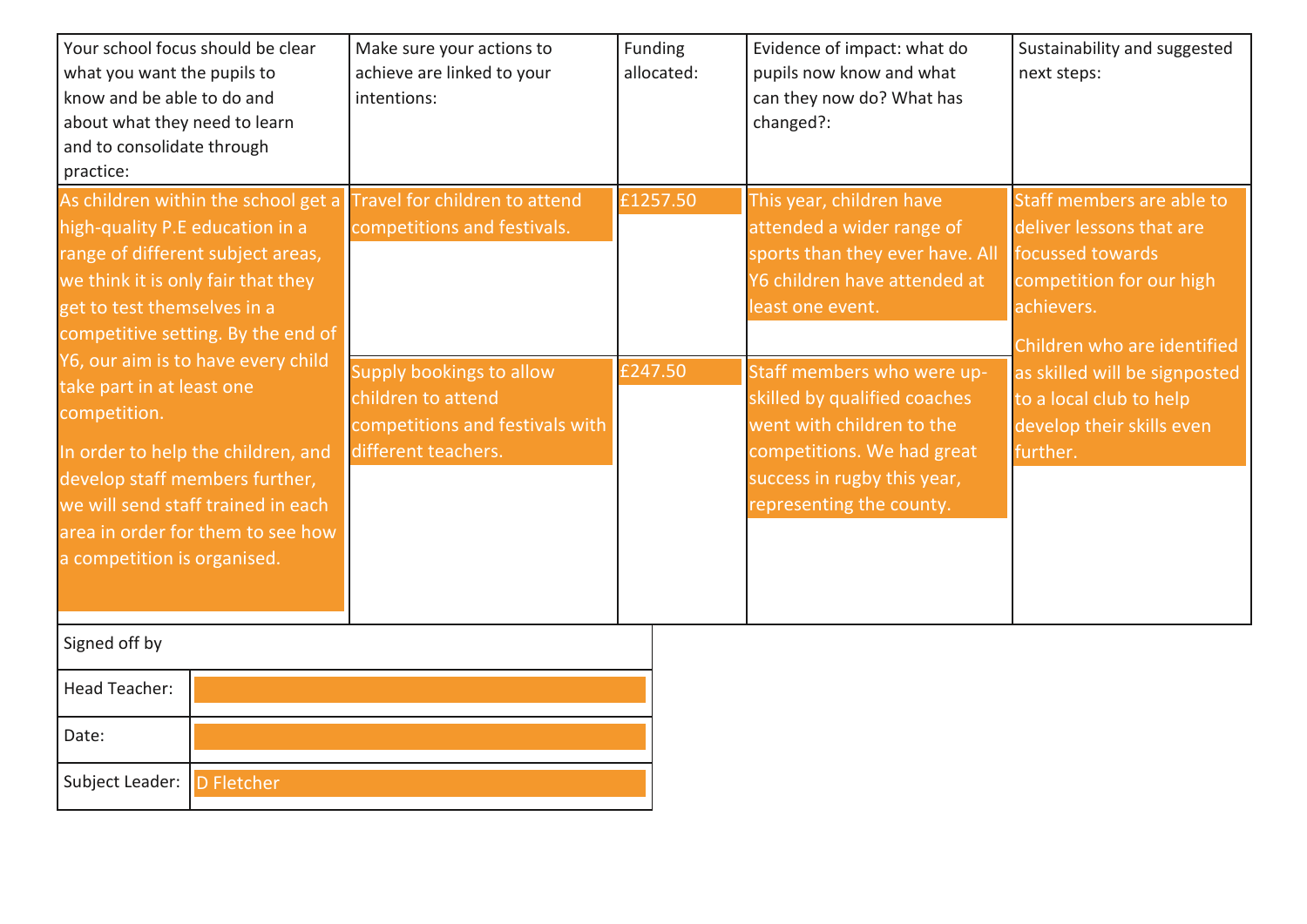| Your school focus should be clear<br>what you want the pupils to<br>know and be able to do and<br>about what they need to learn<br>and to consolidate through<br>practice:                                                                                   | Make sure your actions to<br>achieve are linked to your<br>intentions:                                   | Funding<br>allocated: | Evidence of impact: what do<br>pupils now know and what<br>can they now do? What has<br>changed?:                                                                                | Sustainability and suggested<br>next steps:                                                                                                        |
|--------------------------------------------------------------------------------------------------------------------------------------------------------------------------------------------------------------------------------------------------------------|----------------------------------------------------------------------------------------------------------|-----------------------|----------------------------------------------------------------------------------------------------------------------------------------------------------------------------------|----------------------------------------------------------------------------------------------------------------------------------------------------|
| As children within the school get a<br>high-quality P.E education in a<br>range of different subject areas,<br>we think it is only fair that they<br>get to test themselves in a<br>competitive setting. By the end of<br>Y6, our aim is to have every child | Travel for children to attend<br>competitions and festivals.                                             | £1257.50              | This year, children have<br>attended a wider range of<br>sports than they ever have. All<br>Y6 children have attended at<br>least one event.                                     | Staff members are able to<br>deliver lessons that are<br>focussed towards<br>competition for our high<br>achievers.<br>Children who are identified |
| take part in at least one<br>competition.<br>In order to help the children, and<br>develop staff members further,<br>we will send staff trained in each<br>area in order for them to see how<br>a competition is organised.                                  | Supply bookings to allow<br>children to attend<br>competitions and festivals with<br>different teachers. | £247.50               | Staff members who were up-<br>skilled by qualified coaches<br>went with children to the<br>competitions. We had great<br>success in rugby this year,<br>representing the county. | as skilled will be signposted<br>to a local club to help<br>develop their skills even<br>further.                                                  |
| Signed off by                                                                                                                                                                                                                                                |                                                                                                          |                       |                                                                                                                                                                                  |                                                                                                                                                    |
| Head Teacher:                                                                                                                                                                                                                                                |                                                                                                          |                       |                                                                                                                                                                                  |                                                                                                                                                    |
| Date:                                                                                                                                                                                                                                                        |                                                                                                          |                       |                                                                                                                                                                                  |                                                                                                                                                    |
| Subject Leader: D Fletcher                                                                                                                                                                                                                                   |                                                                                                          |                       |                                                                                                                                                                                  |                                                                                                                                                    |